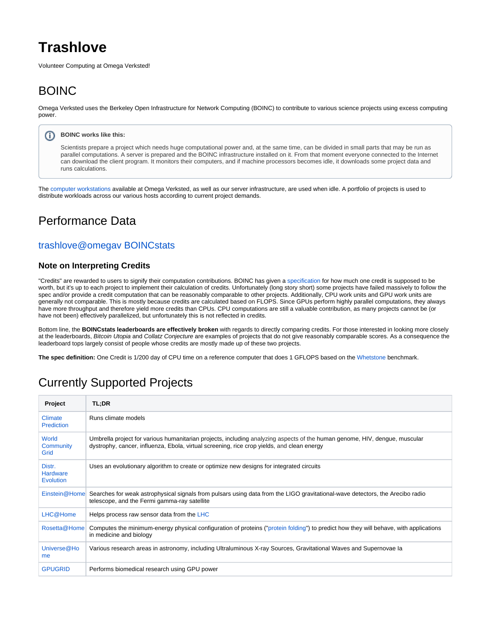# **Trashlove**

Volunteer Computing at Omega Verksted!

## BOINC

Omega Verksted uses the Berkeley Open Infrastructure for Network Computing (BOINC) to contribute to various science projects using excess computing power.

#### G) **BOINC works like this:**

Scientists prepare a project which needs huge computational power and, at the same time, can be divided in small parts that may be run as parallel computations. A server is prepared and the BOINC infrastructure installed on it. From that moment everyone connected to the Internet can download the client program. It monitors their computers, and if machine processors becomes idle, it downloads some project data and runs calculations.

The [computer workstations](https://confluence.omegav.no/display/OV/Computer+Workstations) available at Omega Verksted, as well as our server infrastructure, are used when idle. A portfolio of projects is used to distribute workloads across our various hosts according to current project demands.

### Performance Data

### [trashlove@omegav BOINCstats](https://boincstats.com/en/stats/-5/user/detail/48048e77cd1c6dbcc12a458bf81062bb/overview)

#### **Note on Interpreting Credits**

"Credits" are rewarded to users to signify their computation contributions. BOINC has given a [specification](https://boinc.berkeley.edu/wiki/Computation_credit) for how much one credit is supposed to be worth, but it's up to each project to implement their calculation of credits. Unfortunately (long story short) some projects have failed massively to follow the spec and/or provide a credit computation that can be reasonably comparable to other projects. Additionally, CPU work units and GPU work units are generally not comparable. This is mostly because credits are calculated based on FLOPS. Since GPUs perform highly parallel computations, they always have more throughput and therefore yield more credits than CPUs. CPU computations are still a valuable contribution, as many projects cannot be (or have not been) effectively parallelized, but unfortunately this is not reflected in credits.

Bottom line, the **BOINCstats leaderboards are effectively broken** with regards to directly comparing credits. For those interested in looking more closely at the leaderboards, Bitcoin Utopia and Collatz Conjecture are examples of projects that do not give reasonably comparable scores. As a consequence the leaderboard tops largely consist of people whose credits are mostly made up of these two projects.

**The spec definition:** One Credit is 1/200 day of CPU time on a reference computer that does 1 GFLOPS based on the [Whetstone](http://en.wikipedia.org/wiki/Whetstone_(benchmark)) benchmark.

### Currently Supported Projects

| Project                                       | TL;DR                                                                                                                                                                                                                    |
|-----------------------------------------------|--------------------------------------------------------------------------------------------------------------------------------------------------------------------------------------------------------------------------|
| <b>Climate</b><br><b>Prediction</b>           | Runs climate models                                                                                                                                                                                                      |
| World<br>Community<br>Grid                    | Umbrella project for various humanitarian projects, including analyzing aspects of the human genome, HIV, dengue, muscular<br>dystrophy, cancer, influenza, Ebola, virtual screening, rice crop yields, and clean energy |
| Distr.<br><b>Hardware</b><br><b>Evolution</b> | Uses an evolutionary algorithm to create or optimize new designs for integrated circuits                                                                                                                                 |
| Einstein@Homel                                | Searches for weak astrophysical signals from pulsars using data from the LIGO gravitational-wave detectors, the Arecibo radio<br>telescope, and the Fermi gamma-ray satellite                                            |
| LHC@Home                                      | Helps process raw sensor data from the LHC                                                                                                                                                                               |
| Rosetta@Home                                  | Computes the minimum-energy physical configuration of proteins ("protein folding") to predict how they will behave, with applications<br>in medicine and biology                                                         |
| Universe@Ho<br>me                             | Various research areas in astronomy, including Ultraluminous X-ray Sources, Gravitational Waves and Supernovae la                                                                                                        |
| <b>GPUGRID</b>                                | Performs biomedical research using GPU power                                                                                                                                                                             |